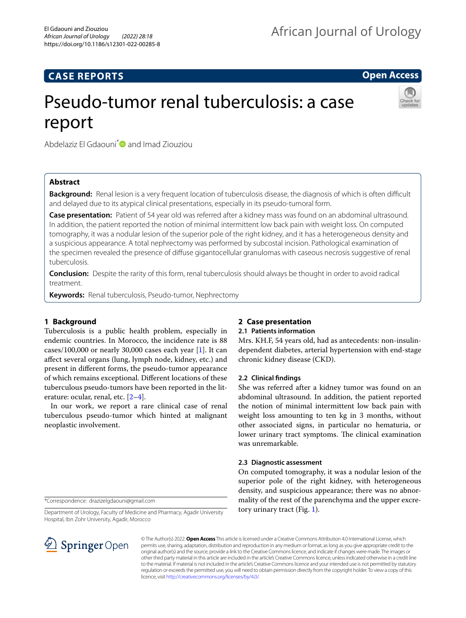# **CASE REPORTS**

**Open Access**

# Pseudo-tumor renal tuberculosis: a case report



Abdelaziz El Gdaouni<sup>\*</sup> and Imad Ziouziou

# **Abstract**

**Background:** Renal lesion is a very frequent location of tuberculosis disease, the diagnosis of which is often difficult and delayed due to its atypical clinical presentations, especially in its pseudo-tumoral form.

**Case presentation:** Patient of 54 year old was referred after a kidney mass was found on an abdominal ultrasound. In addition, the patient reported the notion of minimal intermittent low back pain with weight loss. On computed tomography, it was a nodular lesion of the superior pole of the right kidney, and it has a heterogeneous density and a suspicious appearance. A total nephrectomy was performed by subcostal incision. Pathological examination of the specimen revealed the presence of difuse gigantocellular granulomas with caseous necrosis suggestive of renal tuberculosis.

**Conclusion:** Despite the rarity of this form, renal tuberculosis should always be thought in order to avoid radical treatment.

**Keywords:** Renal tuberculosis, Pseudo-tumor, Nephrectomy

# **1 Background**

Tuberculosis is a public health problem, especially in endemic countries. In Morocco, the incidence rate is 88 cases/100,000 or nearly 30,000 cases each year [[1\]](#page-2-0). It can afect several organs (lung, lymph node, kidney, etc.) and present in diferent forms, the pseudo-tumor appearance of which remains exceptional. Diferent locations of these tuberculous pseudo-tumors have been reported in the literature: ocular, renal, etc. [\[2](#page-2-1)[–4](#page-2-2)].

In our work, we report a rare clinical case of renal tuberculous pseudo-tumor which hinted at malignant neoplastic involvement.

# **2 Case presentation**

# **2.1 Patients information**

Mrs. KH.F, 54 years old, had as antecedents: non-insulindependent diabetes, arterial hypertension with end-stage chronic kidney disease (CKD).

## **2.2 Clinical fndings**

She was referred after a kidney tumor was found on an abdominal ultrasound. In addition, the patient reported the notion of minimal intermittent low back pain with weight loss amounting to ten kg in 3 months, without other associated signs, in particular no hematuria, or lower urinary tract symptoms. The clinical examination was unremarkable.

## **2.3 Diagnostic assessment**

On computed tomography, it was a nodular lesion of the superior pole of the right kidney, with heterogeneous density, and suspicious appearance; there was no abnormality of the rest of the parenchyma and the upper excretory urinary tract (Fig. [1](#page-1-0)).

\*Correspondence: drazizelgdaouni@gmail.com

Department of Urology, Faculty of Medicine and Pharmacy, Agadir University Hospital, Ibn Zohr University, Agadir, Morocco



© The Author(s) 2022. **Open Access** This article is licensed under a Creative Commons Attribution 4.0 International License, which permits use, sharing, adaptation, distribution and reproduction in any medium or format, as long as you give appropriate credit to the original author(s) and the source, provide a link to the Creative Commons licence, and indicate if changes were made. The images or other third party material in this article are included in the article's Creative Commons licence, unless indicated otherwise in a credit line to the material. If material is not included in the article's Creative Commons licence and your intended use is not permitted by statutory regulation or exceeds the permitted use, you will need to obtain permission directly from the copyright holder. To view a copy of this licence, visit [http://creativecommons.org/licenses/by/4.0/.](http://creativecommons.org/licenses/by/4.0/)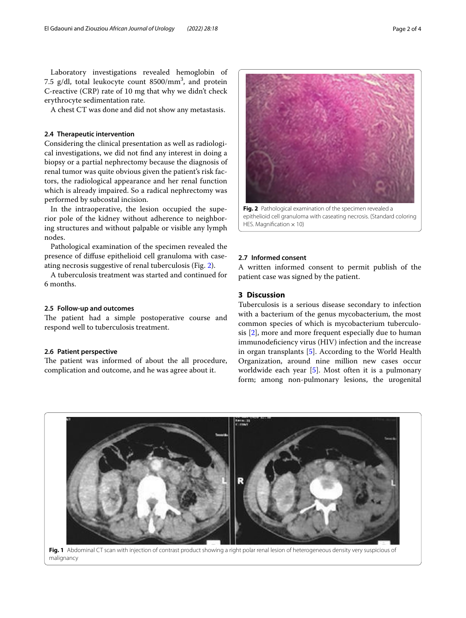Laboratory investigations revealed hemoglobin of 7.5 g/dl, total leukocyte count  $8500/mm^3$ , and protein C-reactive (CRP) rate of 10 mg that why we didn't check erythrocyte sedimentation rate.

A chest CT was done and did not show any metastasis.

## **2.4 Therapeutic intervention**

Considering the clinical presentation as well as radiological investigations, we did not fnd any interest in doing a biopsy or a partial nephrectomy because the diagnosis of renal tumor was quite obvious given the patient's risk factors, the radiological appearance and her renal function which is already impaired. So a radical nephrectomy was performed by subcostal incision.

In the intraoperative, the lesion occupied the superior pole of the kidney without adherence to neighboring structures and without palpable or visible any lymph nodes.

Pathological examination of the specimen revealed the presence of difuse epithelioid cell granuloma with caseating necrosis suggestive of renal tuberculosis (Fig. [2](#page-1-1)).

A tuberculosis treatment was started and continued for 6 months.

#### **2.5 Follow‑up and outcomes**

The patient had a simple postoperative course and respond well to tuberculosis treatment.

#### **2.6 Patient perspective**

The patient was informed of about the all procedure, complication and outcome, and he was agree about it.



<span id="page-1-1"></span>epithelioid cell granuloma with caseating necrosis. (Standard coloring HES. Magnification  $\times$  10)

# **2.7 Informed consent**

A written informed consent to permit publish of the patient case was signed by the patient.

# **3 Discussion**

Tuberculosis is a serious disease secondary to infection with a bacterium of the genus mycobacterium, the most common species of which is mycobacterium tuberculosis [[2\]](#page-2-1), more and more frequent especially due to human immunodefciency virus (HIV) infection and the increase in organ transplants [[5\]](#page-2-3). According to the World Health Organization, around nine million new cases occur worldwide each year [\[5](#page-2-3)]. Most often it is a pulmonary form; among non-pulmonary lesions, the urogenital



<span id="page-1-0"></span>Fig. 1 Abdominal CT scan with injection of contrast product showing a right polar renal lesion of heterogeneous density very suspicious of malignancy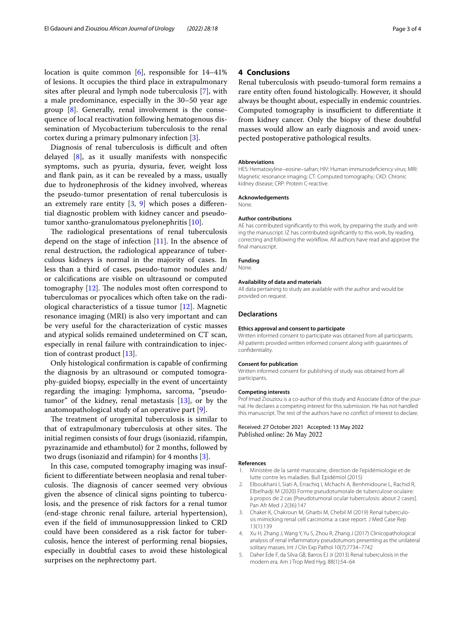location is quite common  $[6]$  $[6]$ , responsible for  $14-41\%$ of lesions. It occupies the third place in extrapulmonary sites after pleural and lymph node tuberculosis [[7\]](#page-3-1), with a male predominance, especially in the 30–50 year age group [\[8](#page-3-2)]. Generally, renal involvement is the consequence of local reactivation following hematogenous dissemination of Mycobacterium tuberculosis to the renal cortex during a primary pulmonary infection [[3\]](#page-2-4).

Diagnosis of renal tuberculosis is difficult and often delayed [[8\]](#page-3-2), as it usually manifests with nonspecifc symptoms, such as pyuria, dysuria, fever, weight loss and fank pain, as it can be revealed by a mass, usually due to hydronephrosis of the kidney involved, whereas the pseudo-tumor presentation of renal tuberculosis is an extremely rare entity  $[3, 9]$  $[3, 9]$  $[3, 9]$  $[3, 9]$  $[3, 9]$  which poses a differential diagnostic problem with kidney cancer and pseudotumor xantho-granulomatous pyelonephritis [[10](#page-3-4)].

The radiological presentations of renal tuberculosis depend on the stage of infection  $[11]$  $[11]$  $[11]$ . In the absence of renal destruction, the radiological appearance of tuberculous kidneys is normal in the majority of cases. In less than a third of cases, pseudo-tumor nodules and/ or calcifcations are visible on ultrasound or computed tomography  $[12]$  $[12]$ . The nodules most often correspond to tuberculomas or pyocalices which often take on the radiological characteristics of a tissue tumor [\[12\]](#page-3-6). Magnetic resonance imaging (MRI) is also very important and can be very useful for the characterization of cystic masses and atypical solids remained undetermined on CT scan, especially in renal failure with contraindication to injection of contrast product [[13\]](#page-3-7).

Only histological confrmation is capable of confrming the diagnosis by an ultrasound or computed tomography-guided biopsy, especially in the event of uncertainty regarding the imaging: lymphoma, sarcoma, "pseudotumor" of the kidney, renal metastasis [\[13\]](#page-3-7), or by the anatomopathological study of an operative part [[9\]](#page-3-3).

The treatment of urogenital tuberculosis is similar to that of extrapulmonary tuberculosis at other sites. The initial regimen consists of four drugs (isoniazid, rifampin, pyrazinamide and ethambutol) for 2 months, followed by two drugs (isoniazid and rifampin) for 4 months [\[3](#page-2-4)].

In this case, computed tomography imaging was insuffcient to diferentiate between neoplasia and renal tuberculosis. The diagnosis of cancer seemed very obvious given the absence of clinical signs pointing to tuberculosis, and the presence of risk factors for a renal tumor (end-stage chronic renal failure, arterial hypertension), even if the feld of immunosuppression linked to CRD could have been considered as a risk factor for tuberculosis, hence the interest of performing renal biopsies, especially in doubtful cases to avoid these histological surprises on the nephrectomy part.

## **4 Conclusions**

Renal tuberculosis with pseudo-tumoral form remains a rare entity often found histologically. However, it should always be thought about, especially in endemic countries. Computed tomography is insufficient to differentiate it from kidney cancer. Only the biopsy of these doubtful masses would allow an early diagnosis and avoid unexpected postoperative pathological results.

#### **Abbreviations**

HES: Hematoxyline–eosine–safran; HIV: Human immunodefciency virus; MRI: Magnetic resonance imaging; CT: Computed tomography; CKD: Chronic kidney disease; CRP: Protein C-reactive.

#### **Acknowledgements**

None.

#### **Author contributions**

AE has contributed signifcantly to this work, by preparing the study and writing the manuscript. IZ has contributed signifcantly to this work, by reading, correcting and following the workflow. All authors have read and approve the final manuscript.

**Funding** None.

# **Availability of data and materials**

All data pertaining to study are available with the author and would be provided on request.

#### **Declarations**

#### **Ethics approval and consent to participate**

Written informed consent to participate was obtained from all participants. All patients provided written informed consent along with guarantees of confdentiality.

#### **Consent for publication**

Written informed consent for publishing of study was obtained from all participants.

#### **Competing interests**

Prof Imad Ziouziou is a co-author of this study and Associate Editor of the journal. He declares a competing interest for this submission. He has not handled this manuscript. The rest of the authors have no confict of interest to declare.

Received: 27 October 2021 Accepted: 13 May 2022 Published online: 26 May 2022

#### **References**

- <span id="page-2-0"></span>1. Ministère de la santé marocaine, direction de l'epidémiologie et de lutte contre les maladies. Bull Epidémiol (2015)
- <span id="page-2-1"></span>2. Elboukhani I, Siati A, Errachiq I, Mchachi A, Benhmidoune L, Rachid R, Elbelhadji M (2020) Forme pseudotumorale de tuberculose oculaire: à propos de 2 cas [Pseudotumoral ocular tuberculosis: about 2 cases]. Pan Afr Med J 2(36):147
- <span id="page-2-4"></span>3. Chaker K, Chakroun M, Gharbi M, Chebil M (2019) Renal tuberculosis mimicking renal cell carcinoma: a case report. J Med Case Rep 13(1):139
- <span id="page-2-2"></span>4. Xu H, Zhang J, Wang Y, Yu S, Zhou R, Zhang J (2017) Clinicopathological analysis of renal infammatory pseudotumors presenting as the unilateral solitary masses. Int J Clin Exp Pathol 10(7):7734–7742
- <span id="page-2-3"></span>5. Daher Ede F, da Silva GB, Barros EJ Jr (2013) Renal tuberculosis in the modern era. Am J Trop Med Hyg. 88(1):54–64